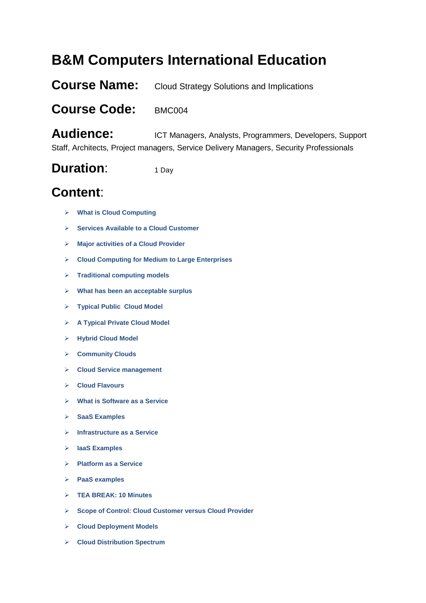## **B&M Computers International Education**

**Course Name:** Cloud Strategy Solutions and Implications

## **Course Code:** BMC004

Audience: ICT Managers, Analysts, Programmers, Developers, Support Staff, Architects, Project managers, Service Delivery Managers, Security Professionals

## **Duration:** 1 Day

## **Content**:

- **What is Cloud Computing**
- **Services Available to a Cloud Customer**
- **Major activities of a Cloud Provider**
- **Cloud Computing for Medium to Large Enterprises**
- **Traditional computing models**
- **What has been an acceptable surplus**
- **Typical Public Cloud Model**
- **A Typical Private Cloud Model**
- **Hybrid Cloud Model**
- **Community Clouds**
- **Cloud Service management**
- **Cloud Flavours**
- **What is Software as a Service**
- **SaaS Examples**
- **Infrastructure as a Service**
- **IaaS Examples**
- **Platform as a Service**
- **PaaS examples**
- **TEA BREAK: 10 Minutes**
- **Scope of Control: Cloud Customer versus Cloud Provider**
- **Cloud Deployment Models**
- **Cloud Distribution Spectrum**